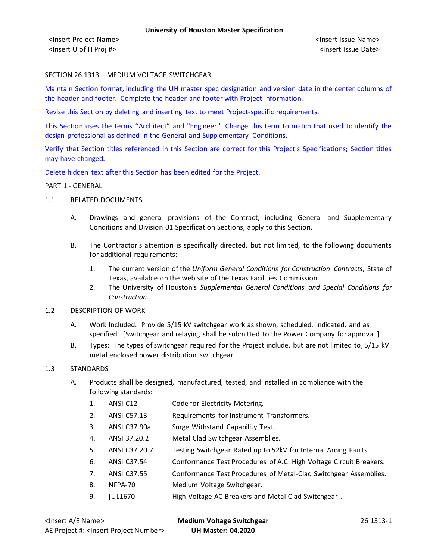### SECTION 26 1313 – MEDIUM VOLTAGE SWITCHGEAR

Maintain Section format, including the UH master spec designation and version date in the center columns of the header and footer. Complete the header and footer with Project information.

Revise this Section by deleting and inserting text to meet Project-specific requirements.

This Section uses the terms "Architect" and "Engineer." Change this term to match that used to identify the design professional as defined in the General and Supplementary Conditions.

Verify that Section titles referenced in this Section are correct for this Project's Specifications; Section titles may have changed.

Delete hidden text after this Section has been edited for the Project.

#### PART 1 - GENERAL

- 1.1 RELATED DOCUMENTS
	- A. Drawings and general provisions of the Contract, including General and Supplementary Conditions and Division 01 Specification Sections, apply to this Section.
	- B. The Contractor's attention is specifically directed, but not limited, to the following documents for additional requirements:
		- 1. The current version of the *Uniform General Conditions for Construction Contracts*, State of Texas, available on the web site of the Texas Facilities Commission.
		- 2. The University of Houston's *Supplemental General Conditions and Special Conditions for Construction.*
- 1.2 DESCRIPTION OF WORK
	- A. Work Included: Provide 5/15 kV switchgear work as shown, scheduled, indicated, and as specified. [Switchgear and relaying shall be submitted to the Power Company for approval.]
	- B. Types: The types of switchgear required for the Project include, but are not limited to, 5/15 kV metal enclosed power distribution switchgear.

#### 1.3 STANDARDS

- A. Products shall be designed, manufactured, tested, and installed in compliance with the following standards:
	- 1. ANSI C12 Code for Electricity Metering.
	- 2. ANSI C57.13 Requirements for Instrument Transformers.
	- 3. ANSI C37.90a Surge Withstand Capability Test.
	- 4. ANSI 37.20.2 Metal Clad Switchgear Assemblies.
	- 5. ANSI C37.20.7 Testing Switchgear Rated up to 52kV for Internal Arcing Faults.
	- 6. ANSI C37.54 Conformance Test Procedures of A.C. High Voltage Circuit Breakers.
	- 7. ANSI C37.55 Conformance Test Procedures of Metal-Clad Switchgear Assemblies.
	- 8. NFPA-70 Medium Voltage Switchgear.
	- 9. [UL1670 High Voltage AC Breakers and Metal Clad Switchgear].

| <lnsert a="" e="" name=""></lnsert>                  | <b>Medium Voltage Switchgear</b> | 26 1313-1 |
|------------------------------------------------------|----------------------------------|-----------|
| AE Project #: <lnsert number="" project=""></lnsert> | <b>UH Master: 04.2020</b>        |           |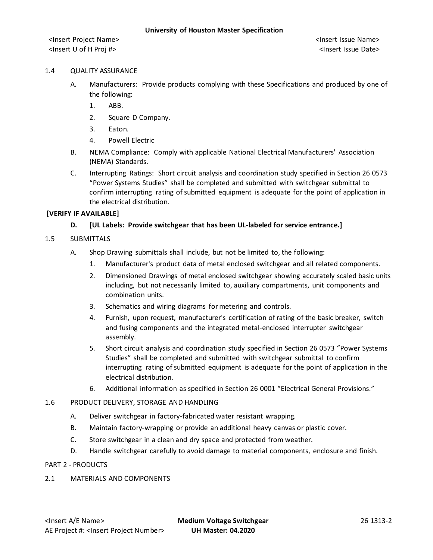#### 1.4 QUALITY ASSURANCE

- A. Manufacturers: Provide products complying with these Specifications and produced by one of the following:
	- 1. ABB.
	- 2. Square D Company.
	- 3. Eaton.
	- 4. Powell Electric
- B. NEMA Compliance: Comply with applicable National Electrical Manufacturers' Association (NEMA) Standards.
- C. Interrupting Ratings: Short circuit analysis and coordination study specified in Section 26 0573 "Power Systems Studies" shall be completed and submitted with switchgear submittal to confirm interrupting rating of submitted equipment is adequate for the point of application in the electrical distribution.

#### **[VERIFY IF AVAILABLE]**

### **D. [UL Labels: Provide switchgear that has been UL-labeled for service entrance.]**

#### 1.5 SUBMITTALS

- A. Shop Drawing submittals shall include, but not be limited to, the following:
	- 1. Manufacturer's product data of metal enclosed switchgear and all related components.
	- 2. Dimensioned Drawings of metal enclosed switchgear showing accurately scaled basic units including, but not necessarily limited to, auxiliary compartments, unit components and combination units.
	- 3. Schematics and wiring diagrams for metering and controls.
	- 4. Furnish, upon request, manufacturer's certification of rating of the basic breaker, switch and fusing components and the integrated metal-enclosed interrupter switchgear assembly.
	- 5. Short circuit analysis and coordination study specified in Section 26 0573 "Power Systems Studies" shall be completed and submitted with switchgear submittal to confirm interrupting rating of submitted equipment is adequate for the point of application in the electrical distribution.
	- 6. Additional information as specified in Section 26 0001 "Electrical General Provisions."

#### 1.6 PRODUCT DELIVERY, STORAGE AND HANDLING

- A. Deliver switchgear in factory-fabricated water resistant wrapping.
- B. Maintain factory-wrapping or provide an additional heavy canvas or plastic cover.
- C. Store switchgear in a clean and dry space and protected from weather.
- D. Handle switchgear carefully to avoid damage to material components, enclosure and finish.

#### PART 2 - PRODUCTS

#### 2.1 MATERIALS AND COMPONENTS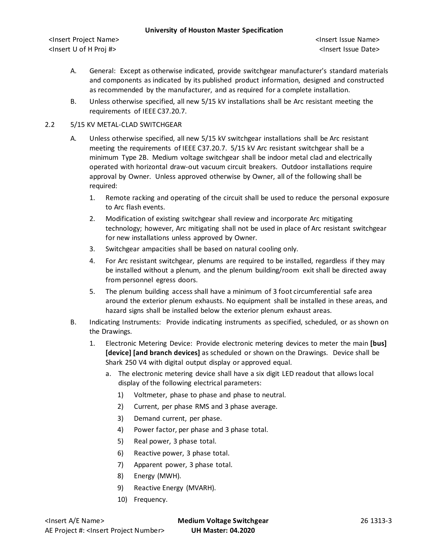<Insert Project Name> <Insert Issue Name> <Insert U of H Proj #> <Insert Issue Date>

- A. General: Except as otherwise indicated, provide switchgear manufacturer's standard materials and components as indicated by its published product information, designed and constructed as recommended by the manufacturer, and as required for a complete installation.
- B. Unless otherwise specified, all new 5/15 kV installations shall be Arc resistant meeting the requirements of IEEE C37.20.7.

## 2.2 5/15 KV METAL-CLAD SWITCHGEAR

- A. Unless otherwise specified, all new 5/15 kV switchgear installations shall be Arc resistant meeting the requirements of IEEE C37.20.7. 5/15 kV Arc resistant switchgear shall be a minimum Type 2B. Medium voltage switchgear shall be indoor metal clad and electrically operated with horizontal draw-out vacuum circuit breakers. Outdoor installations require approval by Owner. Unless approved otherwise by Owner, all of the following shall be required:
	- 1. Remote racking and operating of the circuit shall be used to reduce the personal exposure to Arc flash events.
	- 2. Modification of existing switchgear shall review and incorporate Arc mitigating technology; however, Arc mitigating shall not be used in place of Arc resistant switchgear for new installations unless approved by Owner.
	- 3. Switchgear ampacities shall be based on natural cooling only.
	- 4. For Arc resistant switchgear, plenums are required to be installed, regardless if they may be installed without a plenum, and the plenum building/room exit shall be directed away from personnel egress doors.
	- 5. The plenum building access shall have a minimum of 3 foot circumferential safe area around the exterior plenum exhausts. No equipment shall be installed in these areas, and hazard signs shall be installed below the exterior plenum exhaust areas.
- B. Indicating Instruments: Provide indicating instruments as specified, scheduled, or as shown on the Drawings.
	- 1. Electronic Metering Device: Provide electronic metering devices to meter the main **[bus] [device] [and branch devices]** as scheduled or shown on the Drawings. Device shall be Shark 250 V4 with digital output display or approved equal.
		- a. The electronic metering device shall have a six digit LED readout that allows local display of the following electrical parameters:
			- 1) Voltmeter, phase to phase and phase to neutral.
			- 2) Current, per phase RMS and 3 phase average.
			- 3) Demand current, per phase.
			- 4) Power factor, per phase and 3 phase total.
			- 5) Real power, 3 phase total.
			- 6) Reactive power, 3 phase total.
			- 7) Apparent power, 3 phase total.
			- 8) Energy (MWH).
			- 9) Reactive Energy (MVARH).
			- 10) Frequency.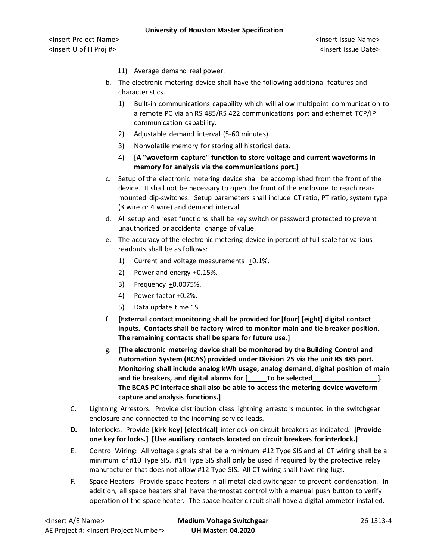<Insert Project Name> <Insert Issue Name> <Insert U of H Proj #> <Insert Issue Date>

- 11) Average demand real power.
- b. The electronic metering device shall have the following additional features and characteristics.
	- 1) Built-in communications capability which will allow multipoint communication to a remote PC via an RS 485/RS 422 communications port and ethernet TCP/IP communication capability.
	- 2) Adjustable demand interval (5-60 minutes).
	- 3) Nonvolatile memory for storing all historical data.
	- 4) **[A "waveform capture" function to store voltage and current waveforms in memory for analysis via the communications port.]**
- c. Setup of the electronic metering device shall be accomplished from the front of the device. It shall not be necessary to open the front of the enclosure to reach rearmounted dip-switches. Setup parameters shall include CT ratio, PT ratio, system type (3 wire or 4 wire) and demand interval.
- d. All setup and reset functions shall be key switch or password protected to prevent unauthorized or accidental change of value.
- e. The accuracy of the electronic metering device in percent of full scale for various readouts shall be as follows:
	- 1) Current and voltage measurements +0.1%.
	- 2) Power and energy +0.15%.
	- 3) Frequency +0.0075%.
	- 4) Power factor +0.2%.
	- 5) Data update time 1S.
- f. **[External contact monitoring shall be provided for [four] [eight] digital contact inputs. Contacts shall be factory-wired to monitor main and tie breaker position. The remaining contacts shall be spare for future use.]**
- g. **[The electronic metering device shall be monitored by the Building Control and Automation System (BCAS) provided under Division 25 via the unit RS 485 port. Monitoring shall include analog kWh usage, analog demand, digital position of main**  and tie breakers, and digital alarms for [included capacated **The BCAS PC interface shall also be able to access the metering device waveform capture and analysis functions.]**
- C. Lightning Arrestors: Provide distribution class lightning arrestors mounted in the switchgear enclosure and connected to the incoming service leads.
- **D.** Interlocks: Provide **[kirk-key] [electrical]** interlock on circuit breakers as indicated. **[Provide one key for locks.] [Use auxiliary contacts located on circuit breakers for interlock.]**
- E. Control Wiring: All voltage signals shall be a minimum #12 Type SIS and all CT wiring shall be a minimum of #10 Type SIS. #14 Type SIS shall only be used if required by the protective relay manufacturer that does not allow #12 Type SIS. All CT wiring shall have ring lugs.
- F. Space Heaters: Provide space heaters in all metal-clad switchgear to prevent condensation. In addition, all space heaters shall have thermostat control with a manual push button to verify operation of the space heater. The space heater circuit shall have a digital ammeter installed.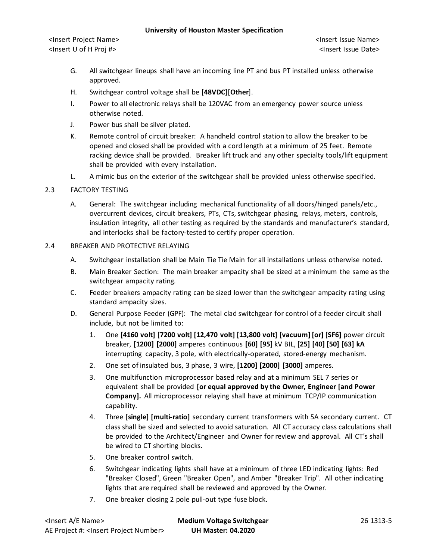<Insert Project Name> <Insert Issue Name> <Insert U of H Proj #> <Insert Issue Date>

- G. All switchgear lineups shall have an incoming line PT and bus PT installed unless otherwise approved.
- H. Switchgear control voltage shall be [**48VDC**][**Other**].
- I. Power to all electronic relays shall be 120VAC from an emergency power source unless otherwise noted.
- J. Power bus shall be silver plated.
- K. Remote control of circuit breaker: A handheld control station to allow the breaker to be opened and closed shall be provided with a cord length at a minimum of 25 feet. Remote racking device shall be provided. Breaker lift truck and any other specialty tools/lift equipment shall be provided with every installation.
- L. A mimic bus on the exterior of the switchgear shall be provided unless otherwise specified.

### 2.3 FACTORY TESTING

A. General: The switchgear including mechanical functionality of all doors/hinged panels/etc., overcurrent devices, circuit breakers, PTs, CTs, switchgear phasing, relays, meters, controls, insulation integrity, all other testing as required by the standards and manufacturer's standard, and interlocks shall be factory-tested to certify proper operation.

#### 2.4 BREAKER AND PROTECTIVE RELAYING

- A. Switchgear installation shall be Main Tie Tie Main for all installations unless otherwise noted.
- B. Main Breaker Section: The main breaker ampacity shall be sized at a minimum the same as the switchgear ampacity rating.
- C. Feeder breakers ampacity rating can be sized lower than the switchgear ampacity rating using standard ampacity sizes.
- D. General Purpose Feeder (GPF): The metal clad switchgear for control of a feeder circuit shall include, but not be limited to:
	- 1. One **[4160 volt] [7200 volt] [12,470 volt] [13,800 volt] [vacuum] [or] [SF6]** power circuit breaker, **[1200] [2000]** amperes continuous **[60] [95]** kV BIL, **[25] [40] [50] [63] kA** interrupting capacity, 3 pole, with electrically-operated, stored-energy mechanism.
	- 2. One set of insulated bus, 3 phase, 3 wire, **[1200] [2000] [3000]** amperes.
	- 3. One multifunction microprocessor based relay and at a minimum SEL 7 series or equivalent shall be provided **[or equal approved by the Owner, Engineer [and Power Company].** All microprocessor relaying shall have at minimum TCP/IP communication capability.
	- 4. Three [**single] [multi-ratio]** secondary current transformers with 5A secondary current. CT class shall be sized and selected to avoid saturation. All CT accuracy class calculations shall be provided to the Architect/Engineer and Owner for review and approval. All CT's shall be wired to CT shorting blocks.
	- 5. One breaker control switch.
	- 6. Switchgear indicating lights shall have at a minimum of three LED indicating lights: Red "Breaker Closed", Green "Breaker Open", and Amber "Breaker Trip". All other indicating lights that are required shall be reviewed and approved by the Owner.
	- 7. One breaker closing 2 pole pull-out type fuse block.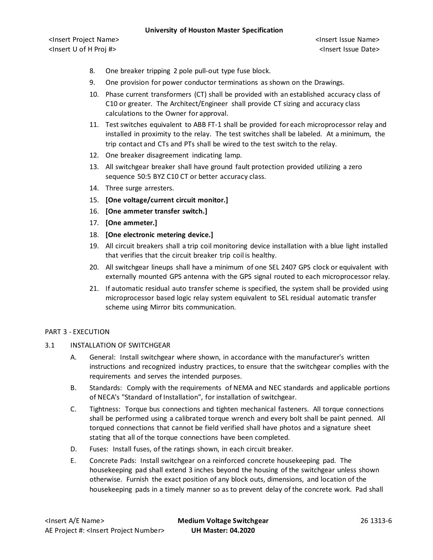<Insert Project Name> <Insert Issue Name> <Insert U of H Proj #> <Insert Issue Date>

- 8. One breaker tripping 2 pole pull-out type fuse block.
- 9. One provision for power conductor terminations as shown on the Drawings.
- 10. Phase current transformers (CT) shall be provided with an established accuracy class of C10 or greater. The Architect/Engineer shall provide CT sizing and accuracy class calculations to the Owner for approval.
- 11. Test switches equivalent to ABB FT-1 shall be provided for each microprocessor relay and installed in proximity to the relay. The test switches shall be labeled. At a minimum, the trip contact and CTs and PTs shall be wired to the test switch to the relay.
- 12. One breaker disagreement indicating lamp.
- 13. All switchgear breaker shall have ground fault protection provided utilizing a zero sequence 50:5 BYZ C10 CT or better accuracy class.
- 14. Three surge arresters.
- 15. **[One voltage/current circuit monitor.]**
- 16. **[One ammeter transfer switch.]**
- 17. **[One ammeter.]**
- 18. **[One electronic metering device.]**
- 19. All circuit breakers shall a trip coil monitoring device installation with a blue light installed that verifies that the circuit breaker trip coil is healthy.
- 20. All switchgear lineups shall have a minimum of one SEL 2407 GPS clock or equivalent with externally mounted GPS antenna with the GPS signal routed to each microprocessor relay.
- 21. If automatic residual auto transfer scheme is specified, the system shall be provided using microprocessor based logic relay system equivalent to SEL residual automatic transfer scheme using Mirror bits communication.

#### PART 3 - EXECUTION

- 3.1 INSTALLATION OF SWITCHGEAR
	- A. General: Install switchgear where shown, in accordance with the manufacturer's written instructions and recognized industry practices, to ensure that the switchgear complies with the requirements and serves the intended purposes.
	- B. Standards: Comply with the requirements of NEMA and NEC standards and applicable portions of NECA's "Standard of Installation", for installation of switchgear.
	- C. Tightness: Torque bus connections and tighten mechanical fasteners. All torque connections shall be performed using a calibrated torque wrench and every bolt shall be paint penned. All torqued connections that cannot be field verified shall have photos and a signature sheet stating that all of the torque connections have been completed.
	- D. Fuses: Install fuses, of the ratings shown, in each circuit breaker.
	- E. Concrete Pads: Install switchgear on a reinforced concrete housekeeping pad. The housekeeping pad shall extend 3 inches beyond the housing of the switchgear unless shown otherwise. Furnish the exact position of any block outs, dimensions, and location of the housekeeping pads in a timely manner so as to prevent delay of the concrete work. Pad shall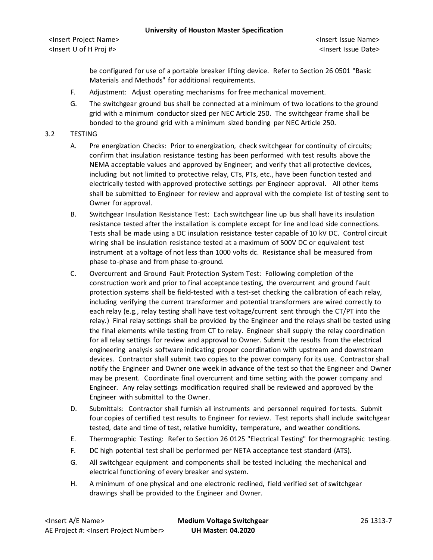be configured for use of a portable breaker lifting device. Refer to Section 26 0501 "Basic Materials and Methods" for additional requirements.

- F. Adjustment: Adjust operating mechanisms for free mechanical movement.
- G. The switchgear ground bus shall be connected at a minimum of two locations to the ground grid with a minimum conductor sized per NEC Article 250. The switchgear frame shall be bonded to the ground grid with a minimum sized bonding per NEC Article 250.

### 3.2 TESTING

- A. Pre energization Checks: Prior to energization, check switchgear for continuity of circuits; confirm that insulation resistance testing has been performed with test results above the NEMA acceptable values and approved by Engineer; and verify that all protective devices, including but not limited to protective relay, CTs, PTs, etc., have been function tested and electrically tested with approved protective settings per Engineer approval. All other items shall be submitted to Engineer for review and approval with the complete list of testing sent to Owner for approval.
- B. Switchgear Insulation Resistance Test: Each switchgear line up bus shall have its insulation resistance tested after the installation is complete except for line and load side connections. Tests shall be made using a DC insulation resistance tester capable of 10 kV DC. Control circuit wiring shall be insulation resistance tested at a maximum of 500V DC or equivalent test instrument at a voltage of not less than 1000 volts dc. Resistance shall be measured from phase to-phase and from phase to-ground.
- C. Overcurrent and Ground Fault Protection System Test: Following completion of the construction work and prior to final acceptance testing, the overcurrent and ground fault protection systems shall be field-tested with a test-set checking the calibration of each relay, including verifying the current transformer and potential transformers are wired correctly to each relay (e.g., relay testing shall have test voltage/current sent through the CT/PT into the relay.) Final relay settings shall be provided by the Engineer and the relays shall be tested using the final elements while testing from CT to relay. Engineer shall supply the relay coordination for all relay settings for review and approval to Owner. Submit the results from the electrical engineering analysis software indicating proper coordination with upstream and downstream devices. Contractor shall submit two copies to the power company for its use. Contractor shall notify the Engineer and Owner one week in advance of the test so that the Engineer and Owner may be present. Coordinate final overcurrent and time setting with the power company and Engineer. Any relay settings modification required shall be reviewed and approved by the Engineer with submittal to the Owner.
- D. Submittals: Contractor shall furnish all instruments and personnel required for tests. Submit four copies of certified test results to Engineer for review. Test reports shall include switchgear tested, date and time of test, relative humidity, temperature, and weather conditions.
- E. Thermographic Testing: Refer to Section 26 0125 "Electrical Testing" for thermographic testing.
- F. DC high potential test shall be performed per NETA acceptance test standard (ATS).
- G. All switchgear equipment and components shall be tested including the mechanical and electrical functioning of every breaker and system.
- H. A minimum of one physical and one electronic redlined, field verified set of switchgear drawings shall be provided to the Engineer and Owner.